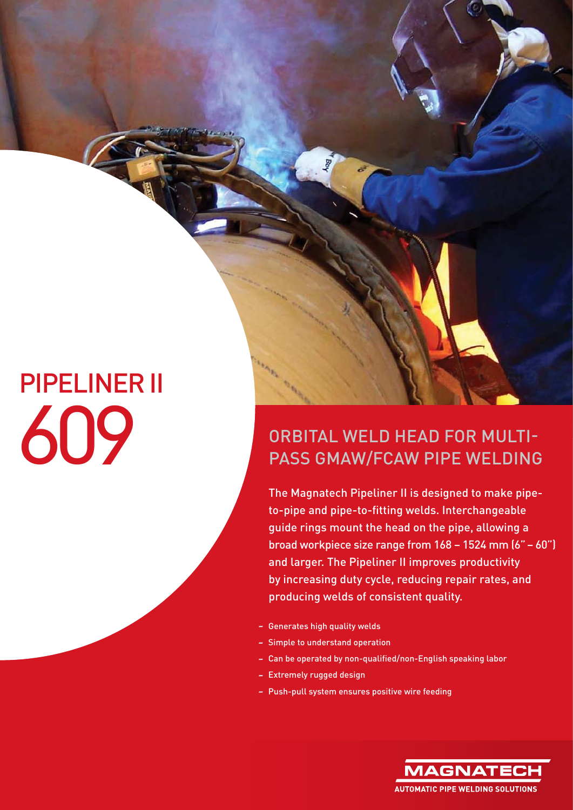## PIPELINER II

## ORBITAL WELD HEAD FOR MULTIPLES ORBITAL WELD HEAD FOR MULTIPLES PASS GMAW/FCAW PIPE WELDING

The Magnatech Pipeliner II is designed to make pipeto-pipe and pipe-to-fitting welds. Interchangeable guide rings mount the head on the pipe, allowing a broad workpiece size range from 168 – 1524 mm (6" – 60") and larger. The Pipeliner II improves productivity by increasing duty cycle, reducing repair rates, and producing welds of consistent quality.

- Generates high quality welds
- Simple to understand operation
- Can be operated by non-qualified/non-English speaking labor
- Extremely rugged design
- Push-pull system ensures positive wire feeding

**MAGNATE AUTOMATIC PIPE WELDING SOLUTIONS**